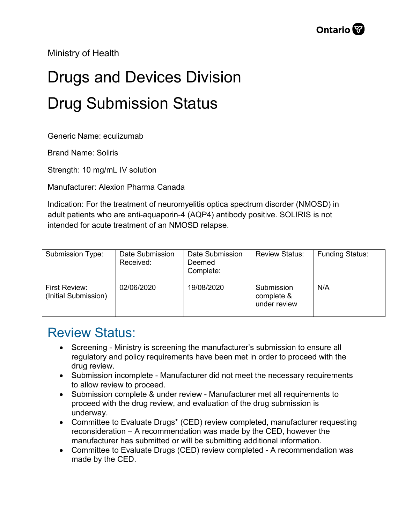Ministry of Health

## Drugs and Devices Division Drug Submission Status

Generic Name: eculizumab

Brand Name: Soliris

Strength: 10 mg/mL IV solution

Manufacturer: Alexion Pharma Canada

Indication: For the treatment of neuromyelitis optica spectrum disorder (NMOSD) in adult patients who are anti-aquaporin-4 (AQP4) antibody positive. SOLIRIS is not intended for acute treatment of an NMOSD relapse.

| Submission Type:                      | Date Submission<br>Received: | Date Submission<br>Deemed<br>Complete: | <b>Review Status:</b>                    | <b>Funding Status:</b> |
|---------------------------------------|------------------------------|----------------------------------------|------------------------------------------|------------------------|
| First Review:<br>(Initial Submission) | 02/06/2020                   | 19/08/2020                             | Submission<br>complete &<br>under review | N/A                    |

## Review Status:

- Screening Ministry is screening the manufacturer's submission to ensure all regulatory and policy requirements have been met in order to proceed with the drug review.
- Submission incomplete Manufacturer did not meet the necessary requirements to allow review to proceed.
- Submission complete & under review Manufacturer met all requirements to proceed with the drug review, and evaluation of the drug submission is underway.
- Committee to Evaluate Drugs\* (CED) review completed, manufacturer requesting reconsideration – A recommendation was made by the CED, however the manufacturer has submitted or will be submitting additional information.
- Committee to Evaluate Drugs (CED) review completed A recommendation was made by the CED.